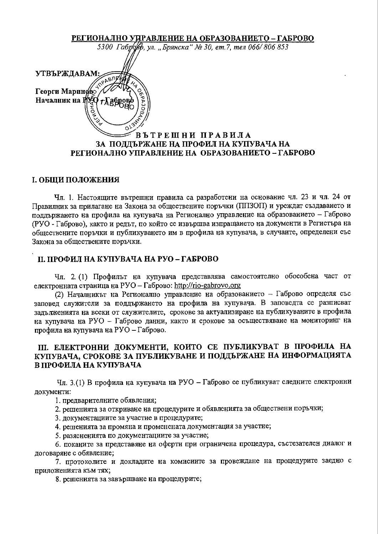РЕГИОНАЛНО УПРАВЛЕНИЕ НА ОБРАЗОВАНИЕТО - ГАБРОВО 5300 Габровер, ул. "Брянска" № 30, ет.7, тел 066/806 853 **УТВЪРЖДАВАМ** Георги Мариново Началник на Р ВЪТРЕШНИ ПРАВИЛА ЗА ПОДДЪРЖАНЕ НА ПРОФИЛ НА КУПУВАЧА НА РЕГИОНАЛНО УПРАВЛЕНИЕ НА ОБРАЗОВАНИЕТО - ГАБРОВО

## І. ОБЩИ ПОЛОЖЕНИЯ

Чл. 1. Настоящите вътрешни правила са разработени на основание чл. 23 и чл. 24 от Правилник за прилагане на Закона за обществените поръчки (ППЗОП) и уреждат създаването и поддържането на профила на купувача на Регионално управление на образованието – Габрово (РУО - Габрово), както и редът, по който се извършва изпращането на документи в Регистъра на обществените поръчки и публикуването им в профила на купувача, в случаите, определени със Закона за обществените поръчки.

## II. ПРОФИЛ НА КУПУВАЧА НА РУО-ГАБРОВО

Чл. 2. (1) Профильт на купувача представлява самостоятелно обособена част от електронната страница на РУО - Габрово: http://rio-gabrovo.org

(2) Началникът на Регионално управление на образованието - Габрово определя със заповед служители за поддържането на профила на купувача. В заповедта се разписват задълженията на всеки от служителите, срокове за актуализиране на публикуваните в профила на купувача на РУО - Габрово данни, както и срокове за осъществяване на мониторинг на профила на купувача на РУО - Габрово.

# III. ЕЛЕКТРОННИ ДОКУМЕНТИ, КОИТО СЕ ПУБЛИКУВАТ В ПРОФИЛА НА КУПУВАЧА, СРОКОВЕ ЗА ПУБЛИКУВАНЕ И ПОДДЪРЖАНЕ НА ИНФОРМАЦИЯТА В ПРОФИЛА НА КУПУВАЧА

Чл. 3.(1) В профила на купувача на РУО – Габрово се публикуват следните електронни документи:

1. предварителните обявления;

2. решенията за откриване на процедурите и обявленията за обществени поръчки;

3. документациите за участие в процедурите;

4. решенията за промяна и променената документация за участие;

5. разясненията по документациите за участие;

6. поканите за представяне на оферти при ограничена процедура, състезателен диалог и договаряне с обявление;

7. протоколите и докладите на комисиите за провеждане на процедурите заедно с приложенията към тях;

8. решенията за завършване на процедурите;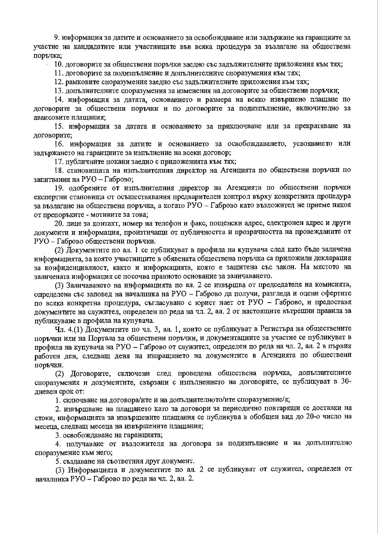9. информация за датите и основанието за освобождаване или задържане на гаранциите за участие на кандидатите или участниците във всяка процедура за възлагане на обществена поръчка;

10. договорите за обществени поръчки заедно със задължителните приложения към тях;

11. договорите за подизпълнение и допълнителните споразумения към тях;

12. рамковите споразумения заедно със задължителните приложения към тях;

13. допълнителните споразумения за изменения на договорите за обществени поръчки;

14. информация за датата, основанието и размера на всяко извършено плащане по договорите за обществени поръчки и по договорите за подизпълнение, включително за авансовите плашания:

15. информация за датата и основанието за приключване или за прекратяване на договорите;

16. информация за датите и основанието за освобождаването, усвояването или задържането на гаранциите за изпълнение на всеки договор;

17. публичните покани заедно с приложенията към тях;

18. становищата на изпълнителния директор на Агенцията по обществени поръчки по запитвания на РУО - Габрово;

19. одобрените от изпълнителния директор на Агенцията по обществени поръчки експертни становища от осъществявания предварителен контрол върху конкретната процедура за възлагане на обществена поръчка, а когато РУО – Габрово като възложител не приеме някоя от препоръките - мотивите за това;

20. лице за контакт, номер на телефон и факс, пощенски адрес, електронен адрес и други документи и информация, произтичащи от публичността и прозрачността на провежданите от РУО - Габрово обществени поръчки.

(2) Документите по ал. 1 се публикуват в профила на купувача след като бъде заличена информацията, за която участниците в обявената обществена поръчка са приложили декларация за конфиденциалност, както и информацията, която е защитена със закон. На мястото на заличената информация се посочва правното основание за заличаването.

(3) Заличаването на информацията по ал. 2 се извършва от председателя на комисията, определена със заповед на началника на РУО - Габрово да получи, разгледа и оцени офертите по всяка конкретна процедура, съгласувано с юрист нает от РУО – Габрово, и предоставя документите на служител, определен по реда на чл. 2, ал. 2 от настоящите вътрешни правила за публикуване в профила на купувача.

Чл. 4.(1) Документите по чл. 3, ал. 1, които се публикуват в Регистъра на обществените поръчки или на Портала за обществени поръчки, и документациите за участие се публикуват в профила на купувача на РУО - Габрово от служител, определен по реда на чл. 2, ал. 2 в първия работен ден, следващ деня на изпращането на документите в Агенцията по обществени поръчки.

(2) Договорите, сключени след проведена обществена поръчка, допълнителните споразумения и документите, свързани с изпълнението на договорите, се публикуват в 30дневен срок от:

1. сключване на договора/ите и на допълнителното/ите споразумение/я;

2. извършване на плащането като за договори за периодично повтарящи се доставки на стоки, информацията за извършените плащания се публикува в обобщен вид до 20-о число на месеца, следващ месеца на извършените плащания;

3. освобождаване на гаранцията;

4. получаване от възложителя на договора за подизпълнение и на допълнително споразумение към него;

5. създаване на съответния друг документ.

(3) Информацията и документите по ал. 2 се публикуват от служител, определен от началника РУО – Габрово по реда на чл. 2, ал. 2.